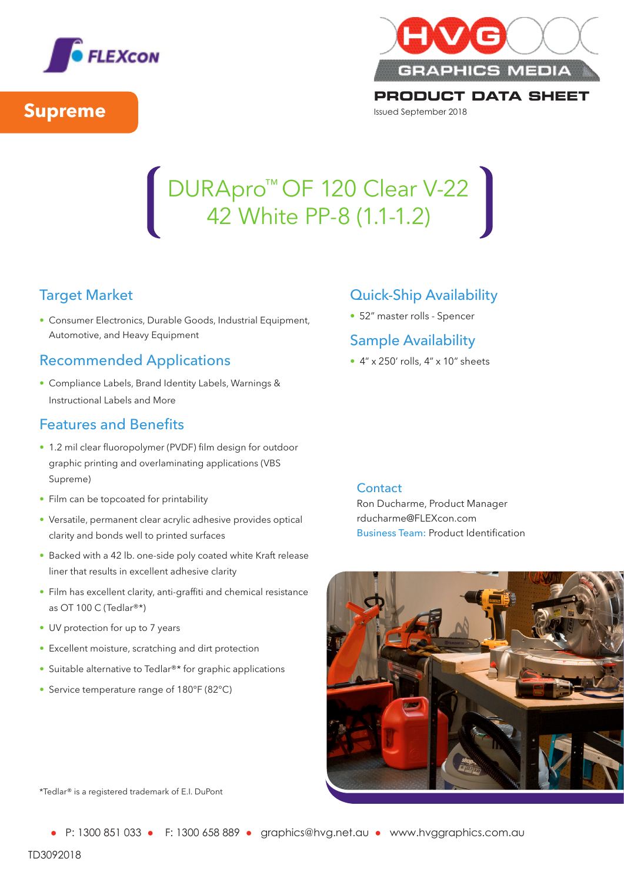



**PRODUCT DATA SHEET** Issued September 2018

### DURApro<sup>™</sup> OF 120 Clear V-22 42 White PP-8 (1.1-1.2) DURApro™ OF 120 Clear V-22 42 White PP-8 (1.1-1.2)

# Target Market Target Market

• Consumer Electronics, Durable Goods, Industrial Equipment, • Consumer Electronics, Durable Goods, Industrial Equipment, Automotive, and Heavy Equipment Automotive, and Heavy Equipment

## Recommended Applications Recommended Applications

• Compliance Labels, Brand Identity Labels, Warnings & • Compliance Labels, Brand Identity Labels, Warnings & Instructional Labels and More Instructional Labels and More

## Features and Benefits Features and Benefits

- 1.2 mil clear fluoropolymer (PVDF) film design for outdoor 1.2 mil clear fluoropolymer (PVDF) film design for outdoor graphic printing and overlaminating applications (VBS graphic printing and overlaminating applications (VBS Supreme) Supreme)
- Film can be topcoated for printability Film can be topcoated for printability
- Versatile, permanent clear acrylic adhesive provides optical Versatile, permanent clear acrylic adhesive provides optical clarity and bonds well to printed surfaces clarity and bonds well to printed surfaces
- Backed with a 42 lb. one-side poly coated white Kraft release Backed with a 42 lb. one-side poly coated white Kraft release liner that results in excellent adhesive clarity liner that results in excellent adhesive clarity
- Film has excellent clarity, anti-graffiti and chemical resistance Film has excellent clarity, anti-graffiti and chemical resistance as OT 100 C (Tedlar®\*) as OT 100 C (Tedlar®\*)
- UV protection for up to 7 years UV protection for up to 7 years
- Excellent moisture, scratching and dirt protection Excellent moisture, scratching and dirt protection
- Suitable alternative to Tedlar®\* for graphic applications Suitable alternative to Tedlar®\* for graphic applications
- Service temperature range of 180°F (82°C) Service temperature range of 180°F (82°C)

## Quick-Ship Availability Quick-Ship Availability

• 52" master rolls - Spencer • 52" master rolls - Spencer

## Sample Availability Sample Availability

• 4" x 250' rolls, 4" x 10" sheets • 4" x 250' rolls, 4" x 10" sheets

#### Contact Contact

Ron Ducharme, Product Manager Ron Ducharme, Product Manager rducharme@FLEXcon.com rducharme@FLEXcon.com Business Team: Product Identification Business Team: Product Identification



\*Tedlar® is a registered trademark of E.I. DuPont \*Tedlar® is a registered trademark of E.I. DuPont